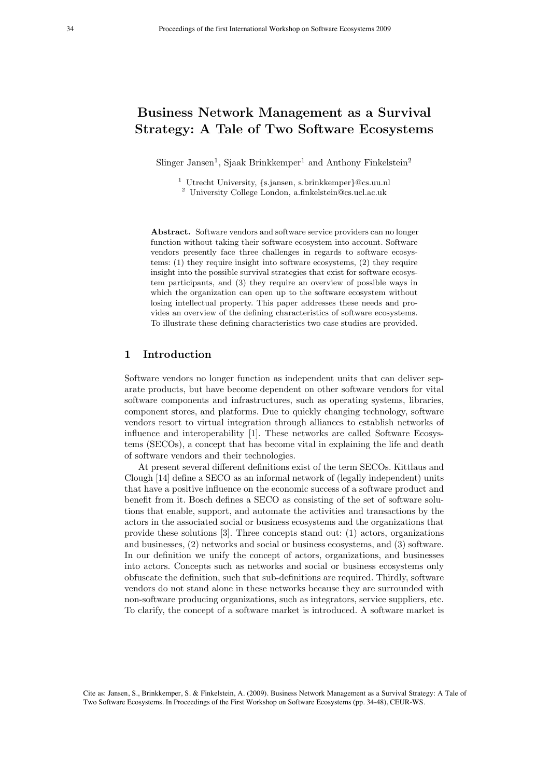# Business Network Management as a Survival Strategy: A Tale of Two Software Ecosystems

 $S$ linger Jansen<sup>1</sup>, Sjaak Brinkkemper<sup>1</sup> and Anthony Finkelstein<sup>2</sup>

<sup>1</sup> Utrecht University, *{*s.jansen, s.brinkkemper*}*@cs.uu.nl <sup>2</sup> University College London, a.finkelstein@cs.ucl.ac.uk

Abstract. Software vendors and software service providers can no longer function without taking their software ecosystem into account. Software vendors presently face three challenges in regards to software ecosystems: (1) they require insight into software ecosystems, (2) they require insight into the possible survival strategies that exist for software ecosystem participants, and (3) they require an overview of possible ways in which the organization can open up to the software ecosystem without losing intellectual property. This paper addresses these needs and provides an overview of the defining characteristics of software ecosystems. To illustrate these defining characteristics two case studies are provided.

# 1 Introduction

Software vendors no longer function as independent units that can deliver separate products, but have become dependent on other software vendors for vital software components and infrastructures, such as operating systems, libraries, component stores, and platforms. Due to quickly changing technology, software vendors resort to virtual integration through alliances to establish networks of influence and interoperability [1]. These networks are called Software Ecosystems (SECOs), a concept that has become vital in explaining the life and death of software vendors and their technologies.

At present several different definitions exist of the term SECOs. Kittlaus and Clough [14] define a SECO as an informal network of (legally independent) units that have a positive influence on the economic success of a software product and benefit from it. Bosch defines a SECO as consisting of the set of software solutions that enable, support, and automate the activities and transactions by the actors in the associated social or business ecosystems and the organizations that provide these solutions [3]. Three concepts stand out: (1) actors, organizations and businesses, (2) networks and social or business ecosystems, and (3) software. In our definition we unify the concept of actors, organizations, and businesses into actors. Concepts such as networks and social or business ecosystems only obfuscate the definition, such that sub-definitions are required. Thirdly, software vendors do not stand alone in these networks because they are surrounded with non-software producing organizations, such as integrators, service suppliers, etc. To clarify, the concept of a software market is introduced. A software market is

Cite as: Jansen, S., Brinkkemper, S. & Finkelstein, A. (2009). Business Network Management as a Survival Strategy: A Tale of Two Software Ecosystems. In Proceedings of the First Workshop on Software Ecosystems (pp. 34-48), CEUR-WS.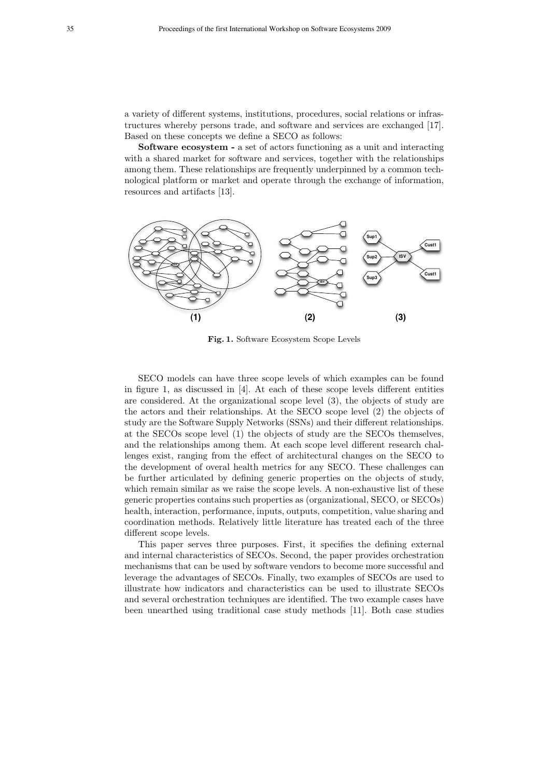a variety of different systems, institutions, procedures, social relations or infrastructures whereby persons trade, and software and services are exchanged [17]. Based on these concepts we define a SECO as follows:

Software ecosystem - a set of actors functioning as a unit and interacting with a shared market for software and services, together with the relationships among them. These relationships are frequently underpinned by a common technological platform or market and operate through the exchange of information, resources and artifacts [13].



Fig. 1. Software Ecosystem Scope Levels

SECO models can have three scope levels of which examples can be found in figure 1, as discussed in [4]. At each of these scope levels different entities are considered. At the organizational scope level (3), the objects of study are the actors and their relationships. At the SECO scope level (2) the objects of study are the Software Supply Networks (SSNs) and their different relationships. at the SECOs scope level (1) the objects of study are the SECOs themselves, and the relationships among them. At each scope level different research challenges exist, ranging from the effect of architectural changes on the SECO to the development of overal health metrics for any SECO. These challenges can be further articulated by defining generic properties on the objects of study, which remain similar as we raise the scope levels. A non-exhaustive list of these generic properties contains such properties as (organizational, SECO, or SECOs) health, interaction, performance, inputs, outputs, competition, value sharing and coordination methods. Relatively little literature has treated each of the three different scope levels.

This paper serves three purposes. First, it specifies the defining external and internal characteristics of SECOs. Second, the paper provides orchestration mechanisms that can be used by software vendors to become more successful and leverage the advantages of SECOs. Finally, two examples of SECOs are used to illustrate how indicators and characteristics can be used to illustrate SECOs and several orchestration techniques are identified. The two example cases have been unearthed using traditional case study methods [11]. Both case studies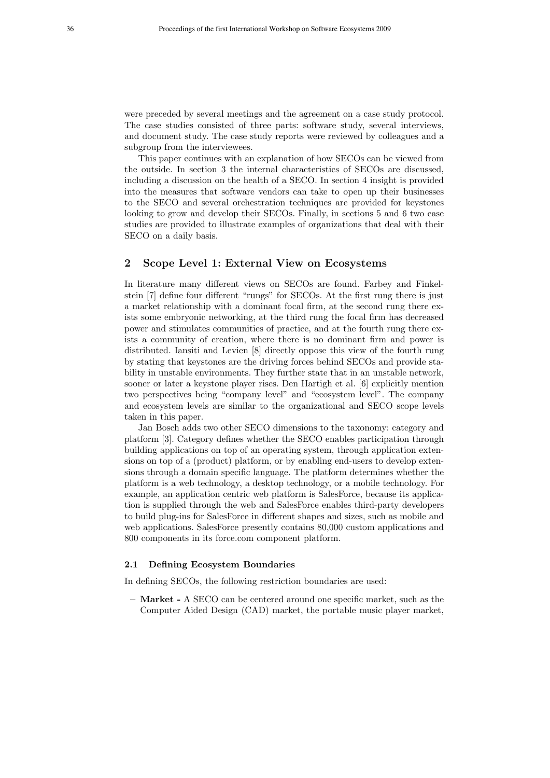were preceded by several meetings and the agreement on a case study protocol. The case studies consisted of three parts: software study, several interviews, and document study. The case study reports were reviewed by colleagues and a subgroup from the interviewees.

This paper continues with an explanation of how SECOs can be viewed from the outside. In section 3 the internal characteristics of SECOs are discussed, including a discussion on the health of a SECO. In section 4 insight is provided into the measures that software vendors can take to open up their businesses to the SECO and several orchestration techniques are provided for keystones looking to grow and develop their SECOs. Finally, in sections 5 and 6 two case studies are provided to illustrate examples of organizations that deal with their SECO on a daily basis.

# 2 Scope Level 1: External View on Ecosystems

In literature many different views on SECOs are found. Farbey and Finkelstein [7] define four different "rungs" for SECOs. At the first rung there is just a market relationship with a dominant focal firm, at the second rung there exists some embryonic networking, at the third rung the focal firm has decreased power and stimulates communities of practice, and at the fourth rung there exists a community of creation, where there is no dominant firm and power is distributed. Iansiti and Levien [8] directly oppose this view of the fourth rung by stating that keystones are the driving forces behind SECOs and provide stability in unstable environments. They further state that in an unstable network, sooner or later a keystone player rises. Den Hartigh et al. [6] explicitly mention two perspectives being "company level" and "ecosystem level". The company and ecosystem levels are similar to the organizational and SECO scope levels taken in this paper.

Jan Bosch adds two other SECO dimensions to the taxonomy: category and platform [3]. Category defines whether the SECO enables participation through building applications on top of an operating system, through application extensions on top of a (product) platform, or by enabling end-users to develop extensions through a domain specific language. The platform determines whether the platform is a web technology, a desktop technology, or a mobile technology. For example, an application centric web platform is SalesForce, because its application is supplied through the web and SalesForce enables third-party developers to build plug-ins for SalesForce in different shapes and sizes, such as mobile and web applications. SalesForce presently contains 80,000 custom applications and 800 components in its force.com component platform.

#### 2.1 Defining Ecosystem Boundaries

In defining SECOs, the following restriction boundaries are used:

– Market - A SECO can be centered around one specific market, such as the Computer Aided Design (CAD) market, the portable music player market,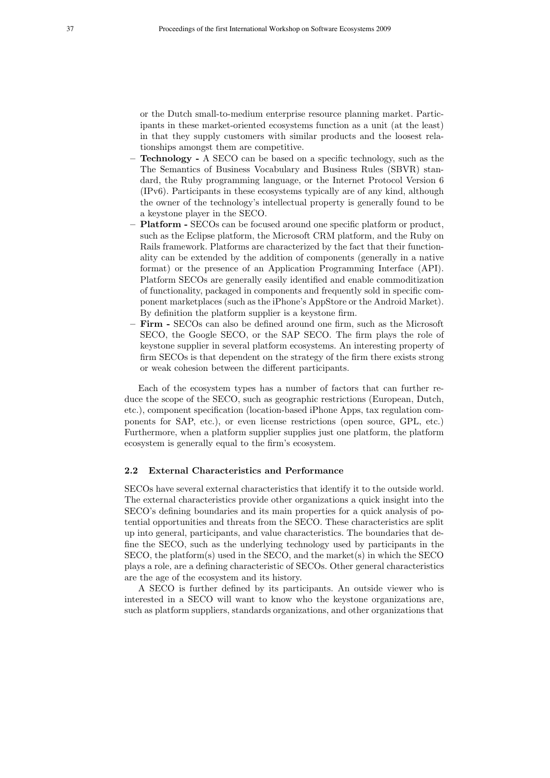or the Dutch small-to-medium enterprise resource planning market. Participants in these market-oriented ecosystems function as a unit (at the least) in that they supply customers with similar products and the loosest relationships amongst them are competitive.

- Technology A SECO can be based on a specific technology, such as the The Semantics of Business Vocabulary and Business Rules (SBVR) standard, the Ruby programming language, or the Internet Protocol Version 6 (IPv6). Participants in these ecosystems typically are of any kind, although the owner of the technology's intellectual property is generally found to be a keystone player in the SECO.
- Platform SECOs can be focused around one specific platform or product, such as the Eclipse platform, the Microsoft CRM platform, and the Ruby on Rails framework. Platforms are characterized by the fact that their functionality can be extended by the addition of components (generally in a native format) or the presence of an Application Programming Interface (API). Platform SECOs are generally easily identified and enable commoditization of functionality, packaged in components and frequently sold in specific component marketplaces (such as the iPhone's AppStore or the Android Market). By definition the platform supplier is a keystone firm.
- Firm SECOs can also be defined around one firm, such as the Microsoft SECO, the Google SECO, or the SAP SECO. The firm plays the role of keystone supplier in several platform ecosystems. An interesting property of firm SECOs is that dependent on the strategy of the firm there exists strong or weak cohesion between the different participants.

Each of the ecosystem types has a number of factors that can further reduce the scope of the SECO, such as geographic restrictions (European, Dutch, etc.), component specification (location-based iPhone Apps, tax regulation components for SAP, etc.), or even license restrictions (open source, GPL, etc.) Furthermore, when a platform supplier supplies just one platform, the platform ecosystem is generally equal to the firm's ecosystem.

#### 2.2 External Characteristics and Performance

SECOs have several external characteristics that identify it to the outside world. The external characteristics provide other organizations a quick insight into the SECO's defining boundaries and its main properties for a quick analysis of potential opportunities and threats from the SECO. These characteristics are split up into general, participants, and value characteristics. The boundaries that define the SECO, such as the underlying technology used by participants in the  $SECO$ , the platform $(s)$  used in the  $SECO$ , and the market $(s)$  in which the  $SECO$ plays a role, are a defining characteristic of SECOs. Other general characteristics are the age of the ecosystem and its history.

A SECO is further defined by its participants. An outside viewer who is interested in a SECO will want to know who the keystone organizations are, such as platform suppliers, standards organizations, and other organizations that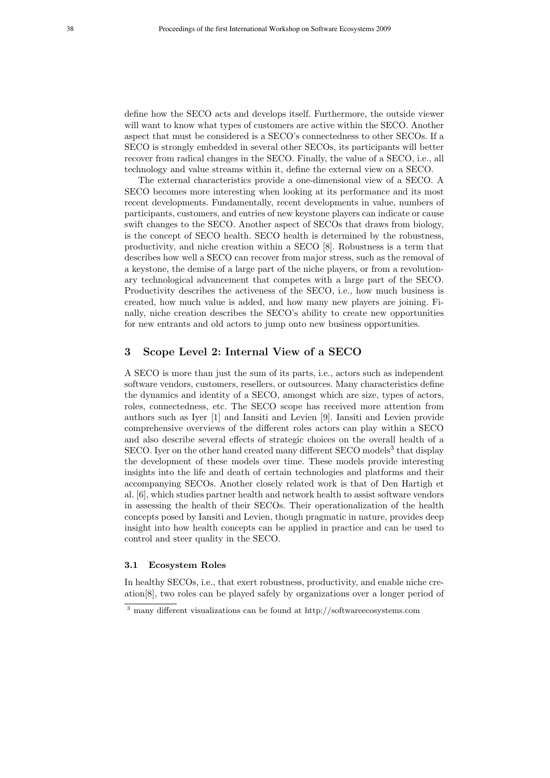define how the SECO acts and develops itself. Furthermore, the outside viewer will want to know what types of customers are active within the SECO. Another aspect that must be considered is a SECO's connectedness to other SECOs. If a SECO is strongly embedded in several other SECOs, its participants will better recover from radical changes in the SECO. Finally, the value of a SECO, i.e., all technology and value streams within it, define the external view on a SECO.

The external characteristics provide a one-dimensional view of a SECO. A SECO becomes more interesting when looking at its performance and its most recent developments. Fundamentally, recent developments in value, numbers of participants, customers, and entries of new keystone players can indicate or cause swift changes to the SECO. Another aspect of SECOs that draws from biology, is the concept of SECO health. SECO health is determined by the robustness, productivity, and niche creation within a SECO [8]. Robustness is a term that describes how well a SECO can recover from major stress, such as the removal of a keystone, the demise of a large part of the niche players, or from a revolutionary technological advancement that competes with a large part of the SECO. Productivity describes the activeness of the SECO, i.e., how much business is created, how much value is added, and how many new players are joining. Finally, niche creation describes the SECO's ability to create new opportunities for new entrants and old actors to jump onto new business opportunities.

# 3 Scope Level 2: Internal View of a SECO

A SECO is more than just the sum of its parts, i.e., actors such as independent software vendors, customers, resellers, or outsources. Many characteristics define the dynamics and identity of a SECO, amongst which are size, types of actors, roles, connectedness, etc. The SECO scope has received more attention from authors such as Iyer [1] and Iansiti and Levien [9]. Iansiti and Levien provide comprehensive overviews of the different roles actors can play within a SECO and also describe several effects of strategic choices on the overall health of a SECO. Iyer on the other hand created many different SECO models<sup>3</sup> that display the development of these models over time. These models provide interesting insights into the life and death of certain technologies and platforms and their accompanying SECOs. Another closely related work is that of Den Hartigh et al. [6], which studies partner health and network health to assist software vendors in assessing the health of their SECOs. Their operationalization of the health concepts posed by Iansiti and Levien, though pragmatic in nature, provides deep insight into how health concepts can be applied in practice and can be used to control and steer quality in the SECO.

## 3.1 Ecosystem Roles

In healthy SECOs, i.e., that exert robustness, productivity, and enable niche creation[8], two roles can be played safely by organizations over a longer period of

<sup>3</sup> many different visualizations can be found at http://softwareecosystems.com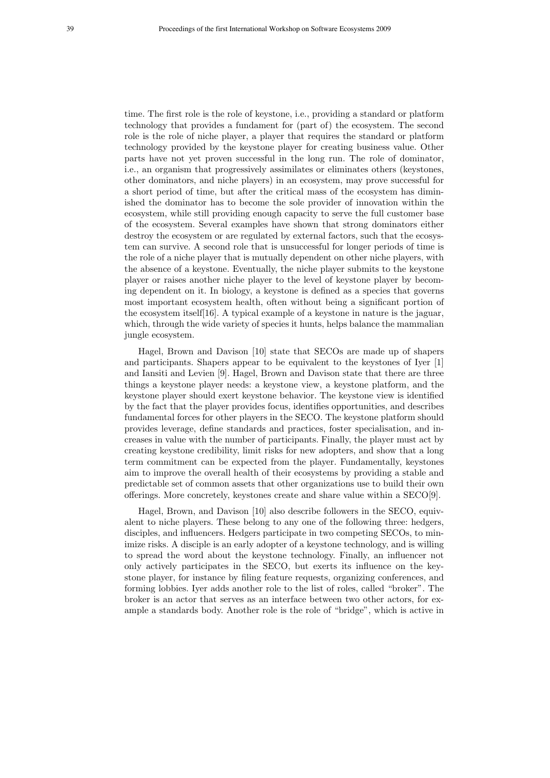time. The first role is the role of keystone, i.e., providing a standard or platform technology that provides a fundament for (part of) the ecosystem. The second role is the role of niche player, a player that requires the standard or platform technology provided by the keystone player for creating business value. Other parts have not yet proven successful in the long run. The role of dominator, i.e., an organism that progressively assimilates or eliminates others (keystones, other dominators, and niche players) in an ecosystem, may prove successful for a short period of time, but after the critical mass of the ecosystem has diminished the dominator has to become the sole provider of innovation within the ecosystem, while still providing enough capacity to serve the full customer base of the ecosystem. Several examples have shown that strong dominators either destroy the ecosystem or are regulated by external factors, such that the ecosystem can survive. A second role that is unsuccessful for longer periods of time is the role of a niche player that is mutually dependent on other niche players, with the absence of a keystone. Eventually, the niche player submits to the keystone player or raises another niche player to the level of keystone player by becoming dependent on it. In biology, a keystone is defined as a species that governs most important ecosystem health, often without being a significant portion of the ecosystem itself[16]. A typical example of a keystone in nature is the jaguar, which, through the wide variety of species it hunts, helps balance the mammalian jungle ecosystem.

Hagel, Brown and Davison [10] state that SECOs are made up of shapers and participants. Shapers appear to be equivalent to the keystones of Iyer [1] and Iansiti and Levien [9]. Hagel, Brown and Davison state that there are three things a keystone player needs: a keystone view, a keystone platform, and the keystone player should exert keystone behavior. The keystone view is identified by the fact that the player provides focus, identifies opportunities, and describes fundamental forces for other players in the SECO. The keystone platform should provides leverage, define standards and practices, foster specialisation, and increases in value with the number of participants. Finally, the player must act by creating keystone credibility, limit risks for new adopters, and show that a long term commitment can be expected from the player. Fundamentally, keystones aim to improve the overall health of their ecosystems by providing a stable and predictable set of common assets that other organizations use to build their own offerings. More concretely, keystones create and share value within a SECO[9].

Hagel, Brown, and Davison [10] also describe followers in the SECO, equivalent to niche players. These belong to any one of the following three: hedgers, disciples, and influencers. Hedgers participate in two competing SECOs, to minimize risks. A disciple is an early adopter of a keystone technology, and is willing to spread the word about the keystone technology. Finally, an influencer not only actively participates in the SECO, but exerts its influence on the keystone player, for instance by filing feature requests, organizing conferences, and forming lobbies. Iyer adds another role to the list of roles, called "broker". The broker is an actor that serves as an interface between two other actors, for example a standards body. Another role is the role of "bridge", which is active in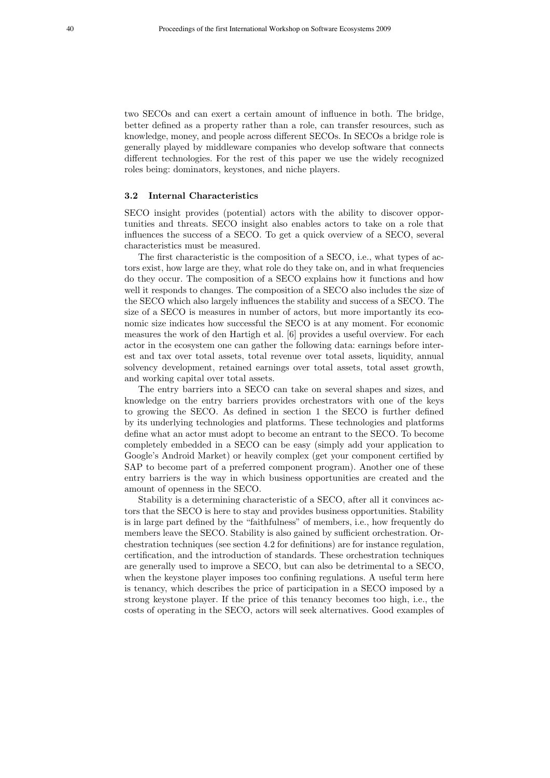two SECOs and can exert a certain amount of influence in both. The bridge, better defined as a property rather than a role, can transfer resources, such as knowledge, money, and people across different SECOs. In SECOs a bridge role is generally played by middleware companies who develop software that connects different technologies. For the rest of this paper we use the widely recognized roles being: dominators, keystones, and niche players.

### 3.2 Internal Characteristics

SECO insight provides (potential) actors with the ability to discover opportunities and threats. SECO insight also enables actors to take on a role that influences the success of a SECO. To get a quick overview of a SECO, several characteristics must be measured.

The first characteristic is the composition of a SECO, i.e., what types of actors exist, how large are they, what role do they take on, and in what frequencies do they occur. The composition of a SECO explains how it functions and how well it responds to changes. The composition of a SECO also includes the size of the SECO which also largely influences the stability and success of a SECO. The size of a SECO is measures in number of actors, but more importantly its economic size indicates how successful the SECO is at any moment. For economic measures the work of den Hartigh et al. [6] provides a useful overview. For each actor in the ecosystem one can gather the following data: earnings before interest and tax over total assets, total revenue over total assets, liquidity, annual solvency development, retained earnings over total assets, total asset growth, and working capital over total assets.

The entry barriers into a SECO can take on several shapes and sizes, and knowledge on the entry barriers provides orchestrators with one of the keys to growing the SECO. As defined in section 1 the SECO is further defined by its underlying technologies and platforms. These technologies and platforms define what an actor must adopt to become an entrant to the SECO. To become completely embedded in a SECO can be easy (simply add your application to Google's Android Market) or heavily complex (get your component certified by SAP to become part of a preferred component program). Another one of these entry barriers is the way in which business opportunities are created and the amount of openness in the SECO.

Stability is a determining characteristic of a SECO, after all it convinces actors that the SECO is here to stay and provides business opportunities. Stability is in large part defined by the "faithfulness" of members, i.e., how frequently do members leave the SECO. Stability is also gained by sufficient orchestration. Orchestration techniques (see section 4.2 for definitions) are for instance regulation, certification, and the introduction of standards. These orchestration techniques are generally used to improve a SECO, but can also be detrimental to a SECO, when the keystone player imposes too confining regulations. A useful term here is tenancy, which describes the price of participation in a SECO imposed by a strong keystone player. If the price of this tenancy becomes too high, i.e., the costs of operating in the SECO, actors will seek alternatives. Good examples of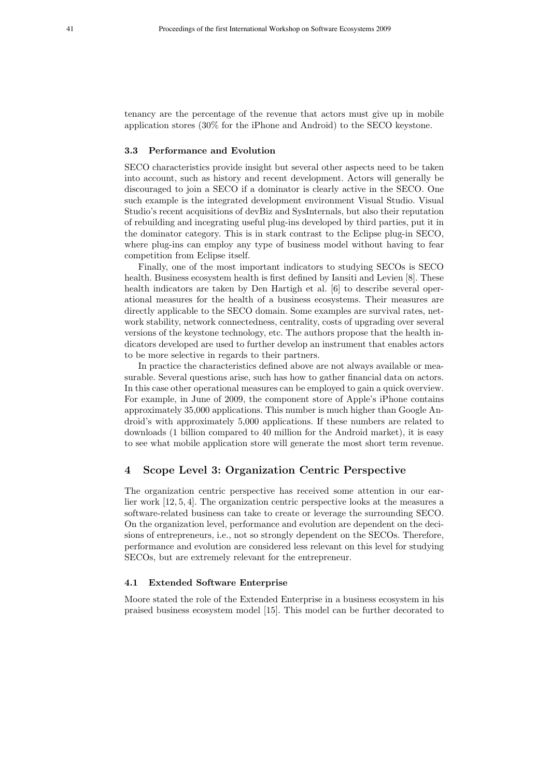tenancy are the percentage of the revenue that actors must give up in mobile application stores (30% for the iPhone and Android) to the SECO keystone.

### 3.3 Performance and Evolution

SECO characteristics provide insight but several other aspects need to be taken into account, such as history and recent development. Actors will generally be discouraged to join a SECO if a dominator is clearly active in the SECO. One such example is the integrated development environment Visual Studio. Visual Studio's recent acquisitions of devBiz and SysInternals, but also their reputation of rebuilding and incegrating useful plug-ins developed by third parties, put it in the dominator category. This is in stark contrast to the Eclipse plug-in SECO, where plug-ins can employ any type of business model without having to fear competition from Eclipse itself.

Finally, one of the most important indicators to studying SECOs is SECO health. Business ecosystem health is first defined by Iansiti and Levien [8]. These health indicators are taken by Den Hartigh et al. [6] to describe several operational measures for the health of a business ecosystems. Their measures are directly applicable to the SECO domain. Some examples are survival rates, network stability, network connectedness, centrality, costs of upgrading over several versions of the keystone technology, etc. The authors propose that the health indicators developed are used to further develop an instrument that enables actors to be more selective in regards to their partners.

In practice the characteristics defined above are not always available or measurable. Several questions arise, such has how to gather financial data on actors. In this case other operational measures can be employed to gain a quick overview. For example, in June of 2009, the component store of Apple's iPhone contains approximately 35,000 applications. This number is much higher than Google Android's with approximately 5,000 applications. If these numbers are related to downloads (1 billion compared to 40 million for the Android market), it is easy to see what mobile application store will generate the most short term revenue.

# 4 Scope Level 3: Organization Centric Perspective

The organization centric perspective has received some attention in our earlier work [12, 5, 4]. The organization centric perspective looks at the measures a software-related business can take to create or leverage the surrounding SECO. On the organization level, performance and evolution are dependent on the decisions of entrepreneurs, i.e., not so strongly dependent on the SECOs. Therefore, performance and evolution are considered less relevant on this level for studying SECOs, but are extremely relevant for the entrepreneur.

# 4.1 Extended Software Enterprise

Moore stated the role of the Extended Enterprise in a business ecosystem in his praised business ecosystem model [15]. This model can be further decorated to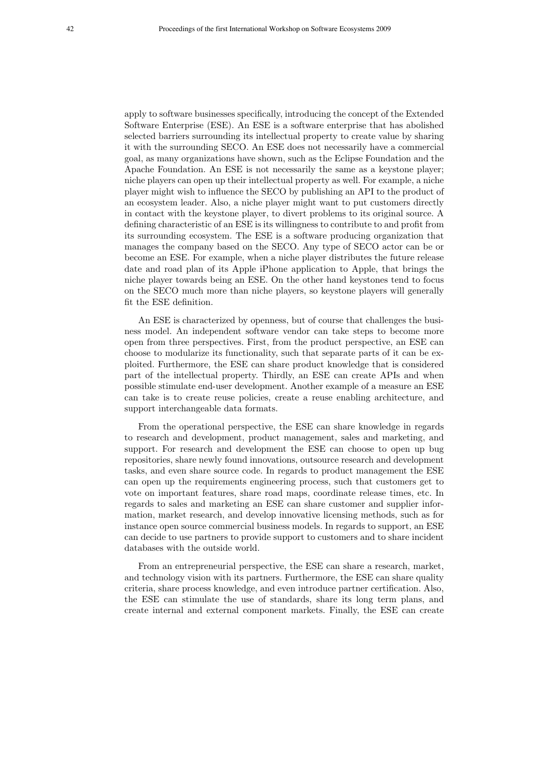apply to software businesses specifically, introducing the concept of the Extended Software Enterprise (ESE). An ESE is a software enterprise that has abolished selected barriers surrounding its intellectual property to create value by sharing it with the surrounding SECO. An ESE does not necessarily have a commercial goal, as many organizations have shown, such as the Eclipse Foundation and the Apache Foundation. An ESE is not necessarily the same as a keystone player; niche players can open up their intellectual property as well. For example, a niche player might wish to influence the SECO by publishing an API to the product of an ecosystem leader. Also, a niche player might want to put customers directly in contact with the keystone player, to divert problems to its original source. A defining characteristic of an ESE is its willingness to contribute to and profit from its surrounding ecosystem. The ESE is a software producing organization that manages the company based on the SECO. Any type of SECO actor can be or become an ESE. For example, when a niche player distributes the future release date and road plan of its Apple iPhone application to Apple, that brings the niche player towards being an ESE. On the other hand keystones tend to focus on the SECO much more than niche players, so keystone players will generally fit the ESE definition.

An ESE is characterized by openness, but of course that challenges the business model. An independent software vendor can take steps to become more open from three perspectives. First, from the product perspective, an ESE can choose to modularize its functionality, such that separate parts of it can be exploited. Furthermore, the ESE can share product knowledge that is considered part of the intellectual property. Thirdly, an ESE can create APIs and when possible stimulate end-user development. Another example of a measure an ESE can take is to create reuse policies, create a reuse enabling architecture, and support interchangeable data formats.

From the operational perspective, the ESE can share knowledge in regards to research and development, product management, sales and marketing, and support. For research and development the ESE can choose to open up bug repositories, share newly found innovations, outsource research and development tasks, and even share source code. In regards to product management the ESE can open up the requirements engineering process, such that customers get to vote on important features, share road maps, coordinate release times, etc. In regards to sales and marketing an ESE can share customer and supplier information, market research, and develop innovative licensing methods, such as for instance open source commercial business models. In regards to support, an ESE can decide to use partners to provide support to customers and to share incident databases with the outside world.

From an entrepreneurial perspective, the ESE can share a research, market, and technology vision with its partners. Furthermore, the ESE can share quality criteria, share process knowledge, and even introduce partner certification. Also, the ESE can stimulate the use of standards, share its long term plans, and create internal and external component markets. Finally, the ESE can create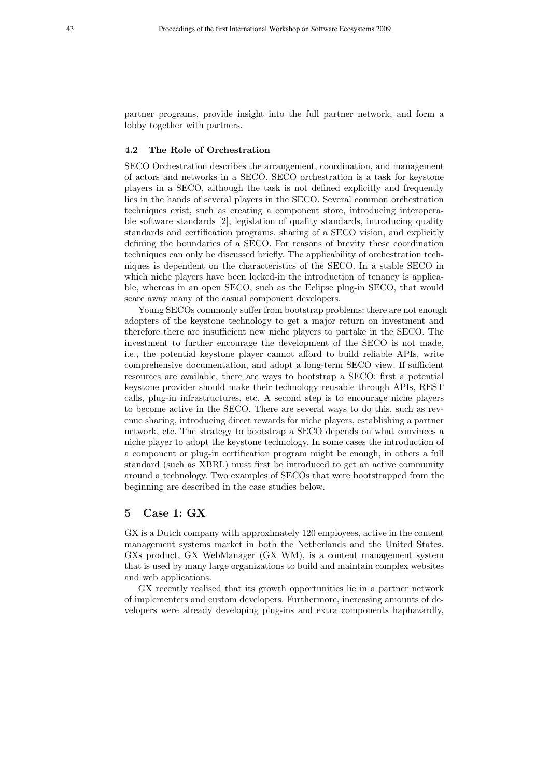partner programs, provide insight into the full partner network, and form a lobby together with partners.

### 4.2 The Role of Orchestration

SECO Orchestration describes the arrangement, coordination, and management of actors and networks in a SECO. SECO orchestration is a task for keystone players in a SECO, although the task is not defined explicitly and frequently lies in the hands of several players in the SECO. Several common orchestration techniques exist, such as creating a component store, introducing interoperable software standards [2], legislation of quality standards, introducing quality standards and certification programs, sharing of a SECO vision, and explicitly defining the boundaries of a SECO. For reasons of brevity these coordination techniques can only be discussed briefly. The applicability of orchestration techniques is dependent on the characteristics of the SECO. In a stable SECO in which niche players have been locked-in the introduction of tenancy is applicable, whereas in an open SECO, such as the Eclipse plug-in SECO, that would scare away many of the casual component developers.

Young SECOs commonly suffer from bootstrap problems: there are not enough adopters of the keystone technology to get a major return on investment and therefore there are insufficient new niche players to partake in the SECO. The investment to further encourage the development of the SECO is not made, i.e., the potential keystone player cannot afford to build reliable APIs, write comprehensive documentation, and adopt a long-term SECO view. If sufficient resources are available, there are ways to bootstrap a SECO: first a potential keystone provider should make their technology reusable through APIs, REST calls, plug-in infrastructures, etc. A second step is to encourage niche players to become active in the SECO. There are several ways to do this, such as revenue sharing, introducing direct rewards for niche players, establishing a partner network, etc. The strategy to bootstrap a SECO depends on what convinces a niche player to adopt the keystone technology. In some cases the introduction of a component or plug-in certification program might be enough, in others a full standard (such as XBRL) must first be introduced to get an active community around a technology. Two examples of SECOs that were bootstrapped from the beginning are described in the case studies below.

# 5 Case 1: GX

GX is a Dutch company with approximately 120 employees, active in the content management systems market in both the Netherlands and the United States. GXs product, GX WebManager (GX WM), is a content management system that is used by many large organizations to build and maintain complex websites and web applications.

GX recently realised that its growth opportunities lie in a partner network of implementers and custom developers. Furthermore, increasing amounts of developers were already developing plug-ins and extra components haphazardly,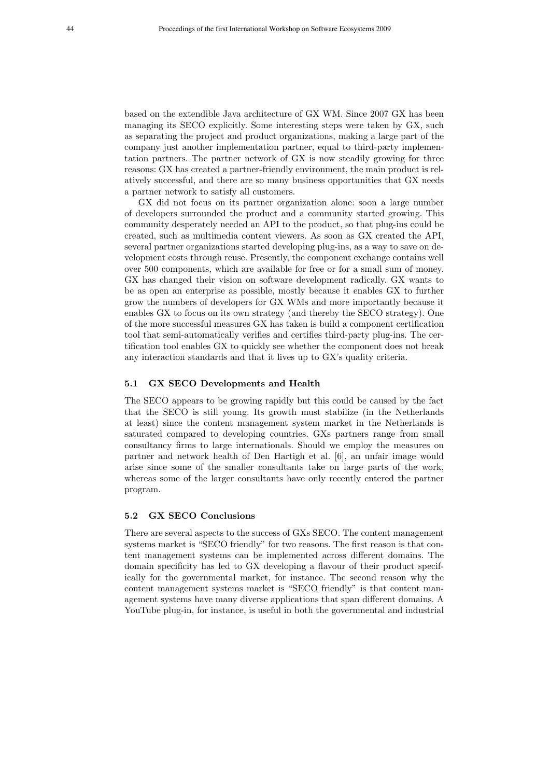based on the extendible Java architecture of GX WM. Since 2007 GX has been managing its SECO explicitly. Some interesting steps were taken by GX, such as separating the project and product organizations, making a large part of the company just another implementation partner, equal to third-party implementation partners. The partner network of GX is now steadily growing for three reasons: GX has created a partner-friendly environment, the main product is relatively successful, and there are so many business opportunities that GX needs a partner network to satisfy all customers.

GX did not focus on its partner organization alone: soon a large number of developers surrounded the product and a community started growing. This community desperately needed an API to the product, so that plug-ins could be created, such as multimedia content viewers. As soon as GX created the API, several partner organizations started developing plug-ins, as a way to save on development costs through reuse. Presently, the component exchange contains well over 500 components, which are available for free or for a small sum of money. GX has changed their vision on software development radically. GX wants to be as open an enterprise as possible, mostly because it enables GX to further grow the numbers of developers for GX WMs and more importantly because it enables GX to focus on its own strategy (and thereby the SECO strategy). One of the more successful measures GX has taken is build a component certification tool that semi-automatically verifies and certifies third-party plug-ins. The certification tool enables GX to quickly see whether the component does not break any interaction standards and that it lives up to GX's quality criteria.

## 5.1 GX SECO Developments and Health

The SECO appears to be growing rapidly but this could be caused by the fact that the SECO is still young. Its growth must stabilize (in the Netherlands at least) since the content management system market in the Netherlands is saturated compared to developing countries. GXs partners range from small consultancy firms to large internationals. Should we employ the measures on partner and network health of Den Hartigh et al. [6], an unfair image would arise since some of the smaller consultants take on large parts of the work, whereas some of the larger consultants have only recently entered the partner program.

### 5.2 GX SECO Conclusions

There are several aspects to the success of GXs SECO. The content management systems market is "SECO friendly" for two reasons. The first reason is that content management systems can be implemented across different domains. The domain specificity has led to GX developing a flavour of their product specifically for the governmental market, for instance. The second reason why the content management systems market is "SECO friendly" is that content management systems have many diverse applications that span different domains. A YouTube plug-in, for instance, is useful in both the governmental and industrial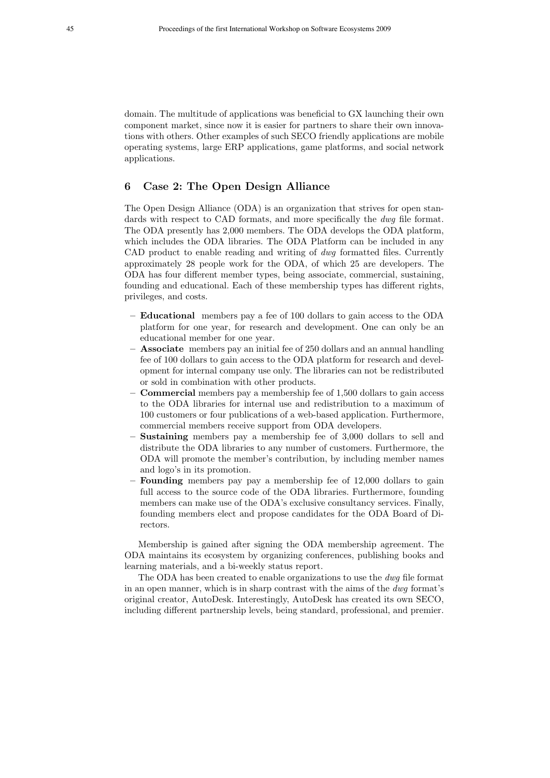domain. The multitude of applications was beneficial to GX launching their own component market, since now it is easier for partners to share their own innovations with others. Other examples of such SECO friendly applications are mobile operating systems, large ERP applications, game platforms, and social network applications.

# 6 Case 2: The Open Design Alliance

The Open Design Alliance (ODA) is an organization that strives for open standards with respect to CAD formats, and more specifically the *dwg* file format. The ODA presently has 2,000 members. The ODA develops the ODA platform, which includes the ODA libraries. The ODA Platform can be included in any CAD product to enable reading and writing of *dwg* formatted files. Currently approximately 28 people work for the ODA, of which 25 are developers. The ODA has four different member types, being associate, commercial, sustaining, founding and educational. Each of these membership types has different rights, privileges, and costs.

- Educational members pay a fee of 100 dollars to gain access to the ODA platform for one year, for research and development. One can only be an educational member for one year.
- Associate members pay an initial fee of 250 dollars and an annual handling fee of 100 dollars to gain access to the ODA platform for research and development for internal company use only. The libraries can not be redistributed or sold in combination with other products.
- Commercial members pay a membership fee of 1,500 dollars to gain access to the ODA libraries for internal use and redistribution to a maximum of 100 customers or four publications of a web-based application. Furthermore, commercial members receive support from ODA developers.
- Sustaining members pay a membership fee of 3,000 dollars to sell and distribute the ODA libraries to any number of customers. Furthermore, the ODA will promote the member's contribution, by including member names and logo's in its promotion.
- Founding members pay pay a membership fee of 12,000 dollars to gain full access to the source code of the ODA libraries. Furthermore, founding members can make use of the ODA's exclusive consultancy services. Finally, founding members elect and propose candidates for the ODA Board of Directors.

Membership is gained after signing the ODA membership agreement. The ODA maintains its ecosystem by organizing conferences, publishing books and learning materials, and a bi-weekly status report.

The ODA has been created to enable organizations to use the *dwg* file format in an open manner, which is in sharp contrast with the aims of the *dwg* format's original creator, AutoDesk. Interestingly, AutoDesk has created its own SECO, including different partnership levels, being standard, professional, and premier.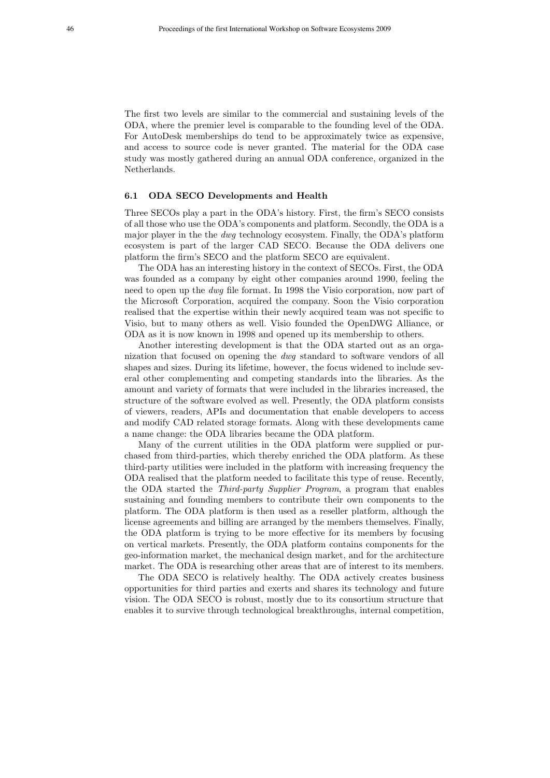The first two levels are similar to the commercial and sustaining levels of the ODA, where the premier level is comparable to the founding level of the ODA. For AutoDesk memberships do tend to be approximately twice as expensive, and access to source code is never granted. The material for the ODA case study was mostly gathered during an annual ODA conference, organized in the Netherlands.

#### 6.1 ODA SECO Developments and Health

Three SECOs play a part in the ODA's history. First, the firm's SECO consists of all those who use the ODA's components and platform. Secondly, the ODA is a major player in the the *dwg* technology ecosystem. Finally, the ODA's platform ecosystem is part of the larger CAD SECO. Because the ODA delivers one platform the firm's SECO and the platform SECO are equivalent.

The ODA has an interesting history in the context of SECOs. First, the ODA was founded as a company by eight other companies around 1990, feeling the need to open up the *dwg* file format. In 1998 the Visio corporation, now part of the Microsoft Corporation, acquired the company. Soon the Visio corporation realised that the expertise within their newly acquired team was not specific to Visio, but to many others as well. Visio founded the OpenDWG Alliance, or ODA as it is now known in 1998 and opened up its membership to others.

Another interesting development is that the ODA started out as an organization that focused on opening the *dwg* standard to software vendors of all shapes and sizes. During its lifetime, however, the focus widened to include several other complementing and competing standards into the libraries. As the amount and variety of formats that were included in the libraries increased, the structure of the software evolved as well. Presently, the ODA platform consists of viewers, readers, APIs and documentation that enable developers to access and modify CAD related storage formats. Along with these developments came a name change: the ODA libraries became the ODA platform.

Many of the current utilities in the ODA platform were supplied or purchased from third-parties, which thereby enriched the ODA platform. As these third-party utilities were included in the platform with increasing frequency the ODA realised that the platform needed to facilitate this type of reuse. Recently, the ODA started the *Third-party Supplier Program*, a program that enables sustaining and founding members to contribute their own components to the platform. The ODA platform is then used as a reseller platform, although the license agreements and billing are arranged by the members themselves. Finally, the ODA platform is trying to be more effective for its members by focusing on vertical markets. Presently, the ODA platform contains components for the geo-information market, the mechanical design market, and for the architecture market. The ODA is researching other areas that are of interest to its members.

The ODA SECO is relatively healthy. The ODA actively creates business opportunities for third parties and exerts and shares its technology and future vision. The ODA SECO is robust, mostly due to its consortium structure that enables it to survive through technological breakthroughs, internal competition,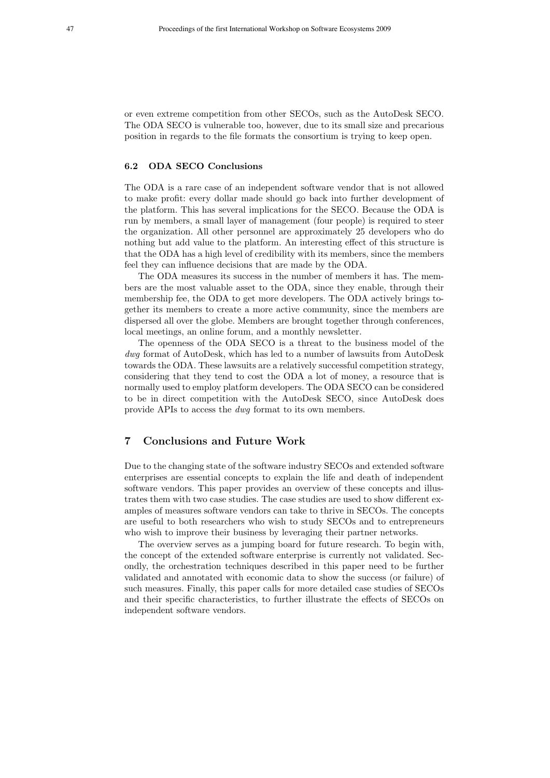or even extreme competition from other SECOs, such as the AutoDesk SECO. The ODA SECO is vulnerable too, however, due to its small size and precarious position in regards to the file formats the consortium is trying to keep open.

# 6.2 ODA SECO Conclusions

The ODA is a rare case of an independent software vendor that is not allowed to make profit: every dollar made should go back into further development of the platform. This has several implications for the SECO. Because the ODA is run by members, a small layer of management (four people) is required to steer the organization. All other personnel are approximately 25 developers who do nothing but add value to the platform. An interesting effect of this structure is that the ODA has a high level of credibility with its members, since the members feel they can influence decisions that are made by the ODA.

The ODA measures its success in the number of members it has. The members are the most valuable asset to the ODA, since they enable, through their membership fee, the ODA to get more developers. The ODA actively brings together its members to create a more active community, since the members are dispersed all over the globe. Members are brought together through conferences, local meetings, an online forum, and a monthly newsletter.

The openness of the ODA SECO is a threat to the business model of the *dwg* format of AutoDesk, which has led to a number of lawsuits from AutoDesk towards the ODA. These lawsuits are a relatively successful competition strategy, considering that they tend to cost the ODA a lot of money, a resource that is normally used to employ platform developers. The ODA SECO can be considered to be in direct competition with the AutoDesk SECO, since AutoDesk does provide APIs to access the *dwg* format to its own members.

# 7 Conclusions and Future Work

Due to the changing state of the software industry SECOs and extended software enterprises are essential concepts to explain the life and death of independent software vendors. This paper provides an overview of these concepts and illustrates them with two case studies. The case studies are used to show different examples of measures software vendors can take to thrive in SECOs. The concepts are useful to both researchers who wish to study SECOs and to entrepreneurs who wish to improve their business by leveraging their partner networks.

The overview serves as a jumping board for future research. To begin with, the concept of the extended software enterprise is currently not validated. Secondly, the orchestration techniques described in this paper need to be further validated and annotated with economic data to show the success (or failure) of such measures. Finally, this paper calls for more detailed case studies of SECOs and their specific characteristics, to further illustrate the effects of SECOs on independent software vendors.